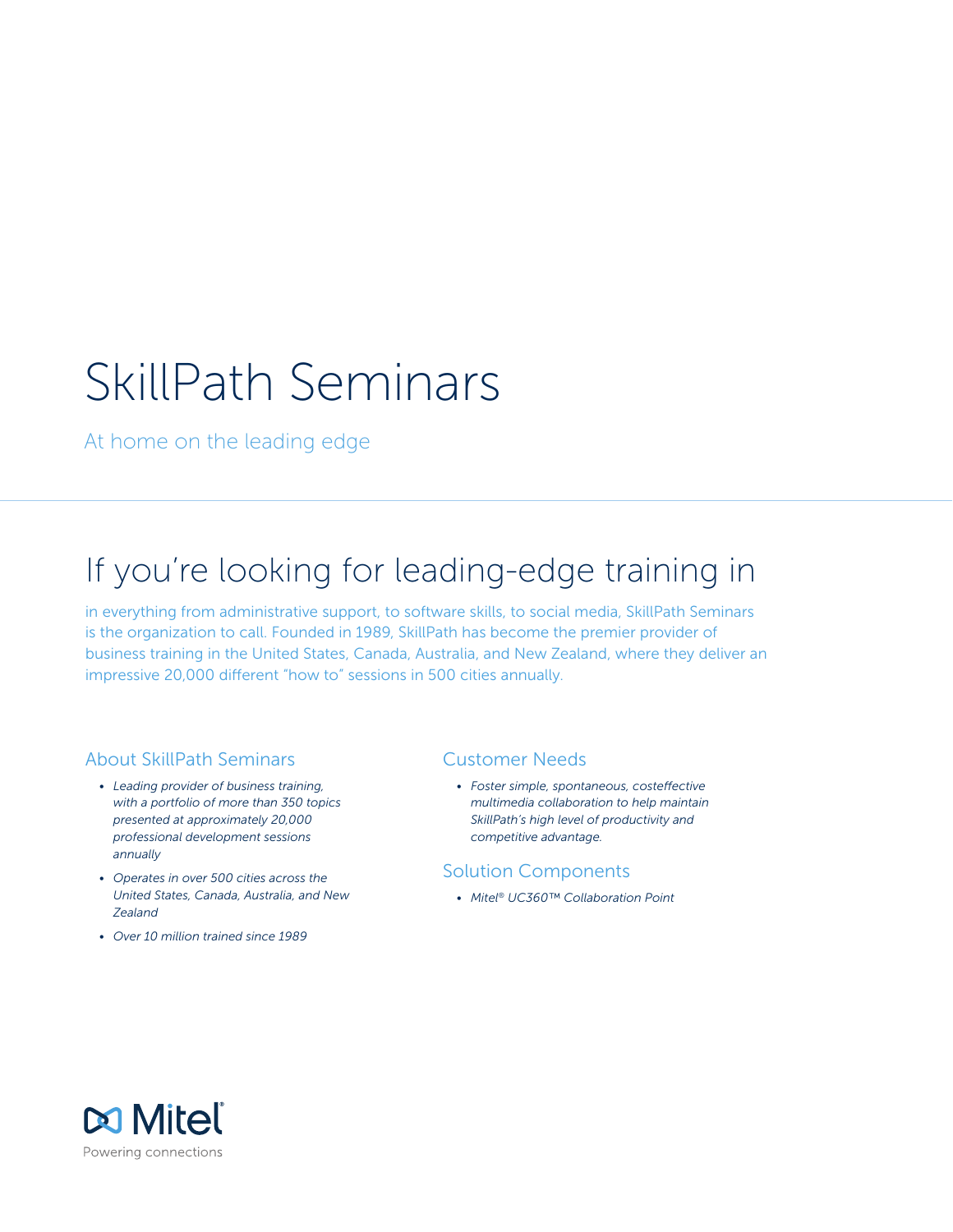# SkillPath Seminars

At home on the leading edge

## If you're looking for leading-edge training in

in everything from administrative support, to software skills, to social media, SkillPath Seminars is the organization to call. Founded in 1989, SkillPath has become the premier provider of business training in the United States, Canada, Australia, and New Zealand, where they deliver an impressive 20,000 different "how to" sessions in 500 cities annually.

### About SkillPath Seminars

- *• Leading provider of business training, with a portfolio of more than 350 topics presented at approximately 20,000 professional development sessions annually*
- *• Operates in over 500 cities across the United States, Canada, Australia, and New Zealand*
- *• Over 10 million trained since 1989*

### Customer Needs

*• Foster simple, spontaneous, costeffective multimedia collaboration to help maintain SkillPath's high level of productivity and competitive advantage.*

### Solution Components

*• Mitel® UC360™ Collaboration Point*

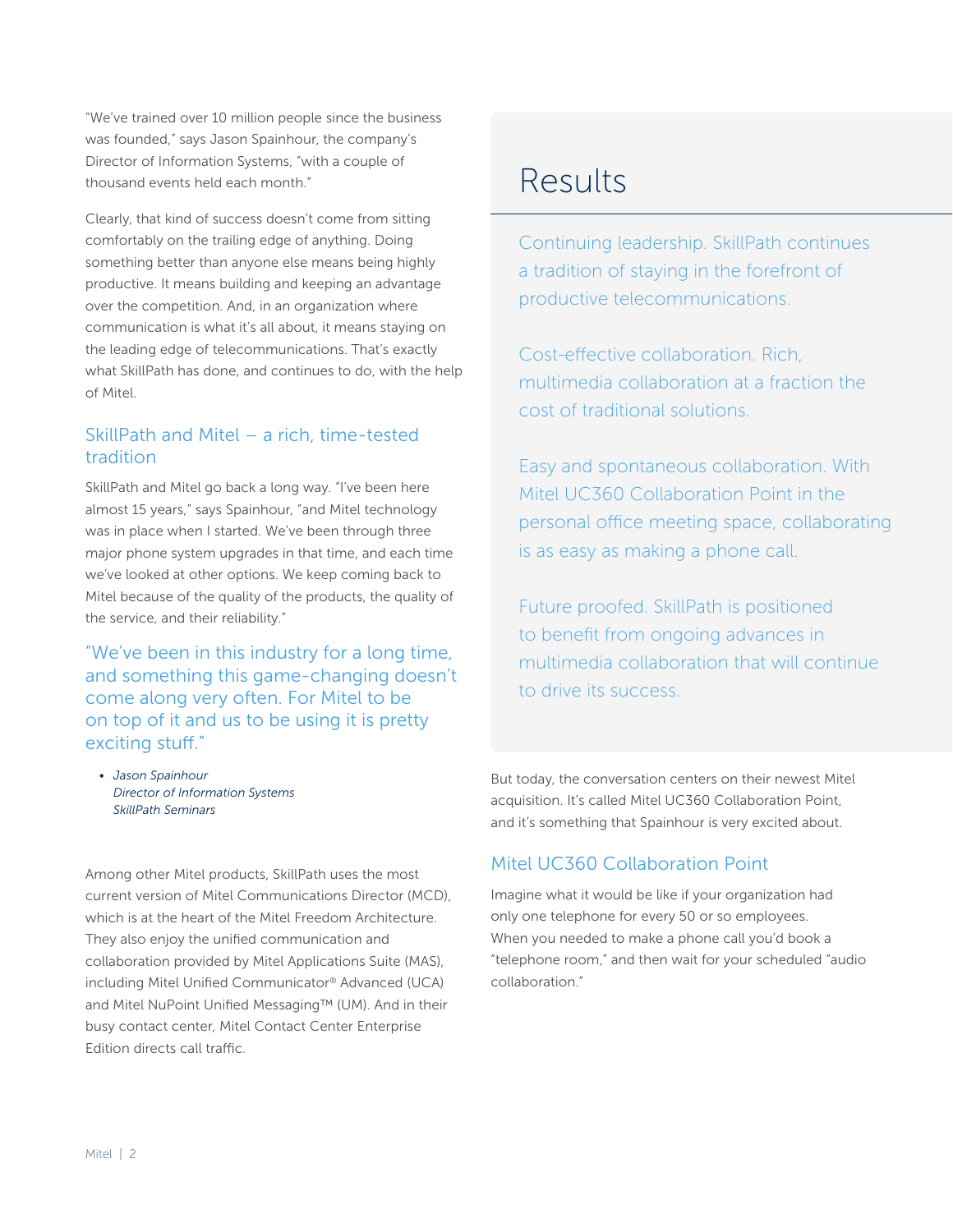"We've trained over 10 million people since the business was founded," says Jason Spainhour, the company's Director of Information Systems, "with a couple of thousand events held each month."

Clearly, that kind of success doesn't come from sitting comfortably on the trailing edge of anything. Doing something better than anyone else means being highly productive. It means building and keeping an advantage over the competition. And, in an organization where communication is what it's all about, it means staying on the leading edge of telecommunications. That's exactly what SkillPath has done, and continues to do, with the help of Mitel.

### SkillPath and Mitel – a rich, time-tested tradition

SkillPath and Mitel go back a long way. "I've been here almost 15 years," says Spainhour, "and Mitel technology was in place when I started. We've been through three major phone system upgrades in that time, and each time we've looked at other options. We keep coming back to Mitel because of the quality of the products, the quality of the service, and their reliability."

"We've been in this industry for a long time, and something this game-changing doesn't come along very often. For Mitel to be on top of it and us to be using it is pretty exciting stuff."

*• Jason Spainhour Director of Information Systems SkillPath Seminars*

Among other Mitel products, SkillPath uses the most current version of Mitel Communications Director (MCD), which is at the heart of the Mitel Freedom Architecture. They also enjoy the unified communication and collaboration provided by Mitel Applications Suite (MAS), including Mitel Unified Communicator® Advanced (UCA) and Mitel NuPoint Unified Messaging™ (UM). And in their busy contact center, Mitel Contact Center Enterprise Edition directs call traffic.

### Results

Continuing leadership. SkillPath continues a tradition of staying in the forefront of productive telecommunications.

Cost-effective collaboration. Rich, multimedia collaboration at a fraction the cost of traditional solutions.

Easy and spontaneous collaboration. With Mitel UC360 Collaboration Point in the personal office meeting space, collaborating is as easy as making a phone call.

Future proofed. SkillPath is positioned to benefit from ongoing advances in multimedia collaboration that will continue to drive its success.

But today, the conversation centers on their newest Mitel acquisition. It's called Mitel UC360 Collaboration Point, and it's something that Spainhour is very excited about.

### Mitel UC360 Collaboration Point

Imagine what it would be like if your organization had only one telephone for every 50 or so employees. When you needed to make a phone call you'd book a "telephone room," and then wait for your scheduled "audio collaboration."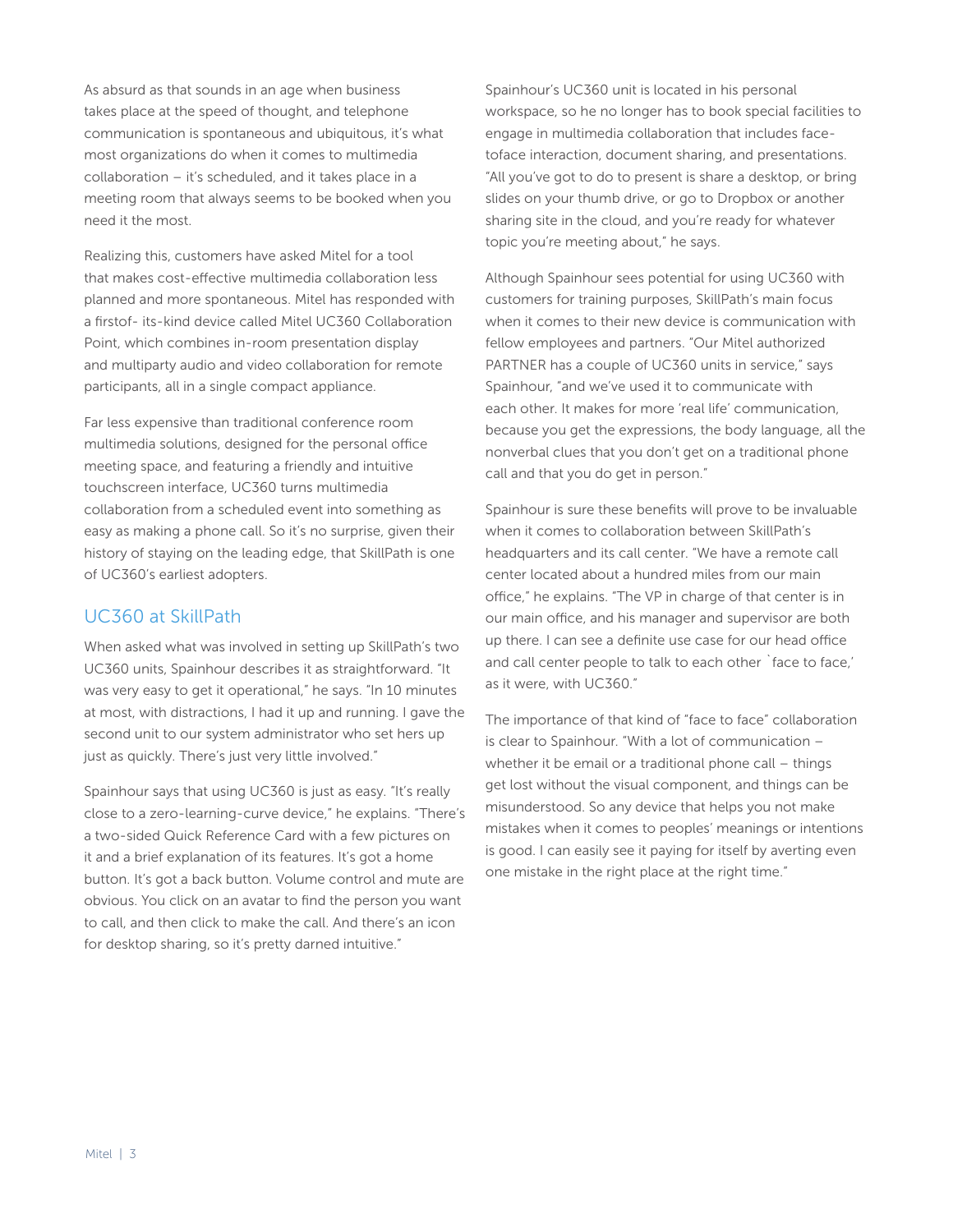As absurd as that sounds in an age when business takes place at the speed of thought, and telephone communication is spontaneous and ubiquitous, it's what most organizations do when it comes to multimedia collaboration – it's scheduled, and it takes place in a meeting room that always seems to be booked when you need it the most.

Realizing this, customers have asked Mitel for a tool that makes cost-effective multimedia collaboration less planned and more spontaneous. Mitel has responded with a firstof- its-kind device called Mitel UC360 Collaboration Point, which combines in-room presentation display and multiparty audio and video collaboration for remote participants, all in a single compact appliance.

Far less expensive than traditional conference room multimedia solutions, designed for the personal office meeting space, and featuring a friendly and intuitive touchscreen interface, UC360 turns multimedia collaboration from a scheduled event into something as easy as making a phone call. So it's no surprise, given their history of staying on the leading edge, that SkillPath is one of UC360's earliest adopters.

### UC360 at SkillPath

When asked what was involved in setting up SkillPath's two UC360 units, Spainhour describes it as straightforward. "It was very easy to get it operational," he says. "In 10 minutes at most, with distractions, I had it up and running. I gave the second unit to our system administrator who set hers up just as quickly. There's just very little involved."

Spainhour says that using UC360 is just as easy. "It's really close to a zero-learning-curve device," he explains. "There's a two-sided Quick Reference Card with a few pictures on it and a brief explanation of its features. It's got a home button. It's got a back button. Volume control and mute are obvious. You click on an avatar to find the person you want to call, and then click to make the call. And there's an icon for desktop sharing, so it's pretty darned intuitive."

Spainhour's UC360 unit is located in his personal workspace, so he no longer has to book special facilities to engage in multimedia collaboration that includes facetoface interaction, document sharing, and presentations. "All you've got to do to present is share a desktop, or bring slides on your thumb drive, or go to Dropbox or another sharing site in the cloud, and you're ready for whatever topic you're meeting about," he says.

Although Spainhour sees potential for using UC360 with customers for training purposes, SkillPath's main focus when it comes to their new device is communication with fellow employees and partners. "Our Mitel authorized PARTNER has a couple of UC360 units in service," says Spainhour, "and we've used it to communicate with each other. It makes for more 'real life' communication, because you get the expressions, the body language, all the nonverbal clues that you don't get on a traditional phone call and that you do get in person."

Spainhour is sure these benefits will prove to be invaluable when it comes to collaboration between SkillPath's headquarters and its call center. "We have a remote call center located about a hundred miles from our main office," he explains. "The VP in charge of that center is in our main office, and his manager and supervisor are both up there. I can see a definite use case for our head office and call center people to talk to each other `face to face,' as it were, with UC360."

The importance of that kind of "face to face" collaboration is clear to Spainhour. "With a lot of communication – whether it be email or a traditional phone call – things get lost without the visual component, and things can be misunderstood. So any device that helps you not make mistakes when it comes to peoples' meanings or intentions is good. I can easily see it paying for itself by averting even one mistake in the right place at the right time."